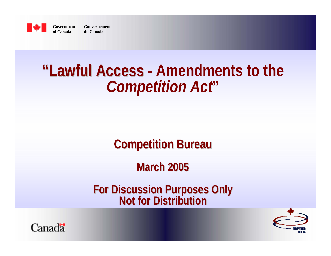

**Government Gouvernementof Canada du Canada**

# **"Lawful Access "Lawful Access - Amendments to the -** *Competition Act***"**

#### **Competition Bureau Competition Bureau**

**March 2005 March 2005**

**For Discussion Purposes Only For Discussion Purposes Only Not for Distribution Not for Distribution**



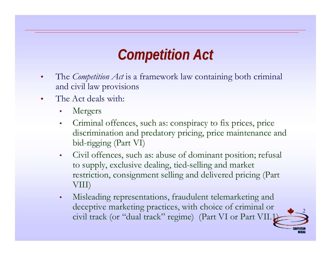## *Competition Act Competition Act*

- • The *Competition Act* is a framework law containing both criminal and civil law provisions
- • The Act deals with:
	- •Mergers
	- • Criminal offences, such as: conspiracy to fix prices, price discrimination and predatory pricing, price maintenance and bid-rigging (Part VI)
	- Civil offences, such as: abuse of dominant position; refusal to supply, exclusive dealing, tied-selling and market restriction, consignment selling and delivered pricing (Part VIII)
	- • Misleading representations, fraudulent telemarketing and deceptive marketing practices, with choice of criminal or civil track (or "dual track" regime) (Part VI or Part VII.1)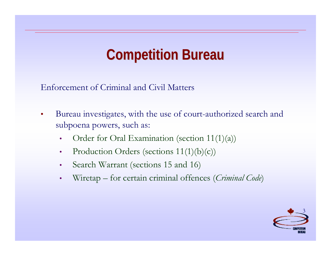## **Competition Bureau Competition Bureau**

Enforcement of Criminal and Civil Matters

- • Bureau investigates, with the use of court-authorized search and subpoena powers, such as:
	- •Order for Oral Examination (section 11(1)(a))
	- $\bullet$ Production Orders (sections  $11(1)(b)(c)$ )
	- •Search Warrant (sections 15 and 16)
	- •Wiretap – for certain criminal offences (*Criminal Code*)

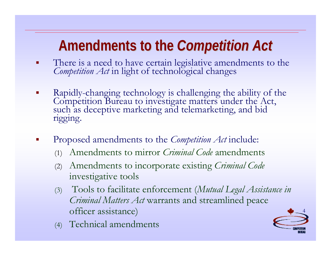- $\blacksquare$ There is <sup>a</sup> need to have certain legislative amendments to the *Competition Act* in light of technological changes
- $\mathcal{L}_{\mathcal{A}}$ Rapidly-changing technology is challenging the ability of the Competition Bureau to investigate matters under the Act, such as deceptive marketing and telemarketing, and bid rigging.
- h. Proposed amendments to the *Competition Act* include:
	- (1) Amendments to mirror *Criminal Code* amendments
	- (2) Amendments to incorporate existing *Criminal Code* investigative tools
	- (3) Tools to facilitate enforcement (*Mutual Legal Assistance in Criminal Matters Act* warrants and streamlined peace officer assistance)
	- (4) Technical amendments

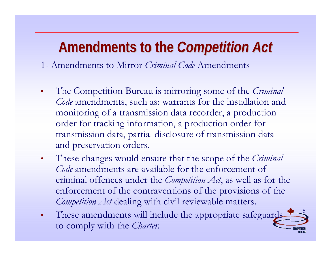1- Amendments to Mirror *Criminal Code* Amendments

- $\bullet$  The Competition Bureau is mirroring some of the *Criminal Code* amendments, such as: warrants for the installation and monitoring of a transmission data recorder, a production order for tracking information, a production order for transmission data, partial disclosure of transmission data and preservation orders.
- $\bullet$  These changes would ensure that the scope of the *Criminal Code* amendments are available for the enforcement of criminal offences under the *Competition Act*, as well as for the enforcement of the contraventions of the provisions of the *Competition Act* dealing with civil reviewable matters.
- 5 $\bullet$ These amendments will include the appropriate safeguards to comply with the *Charter*.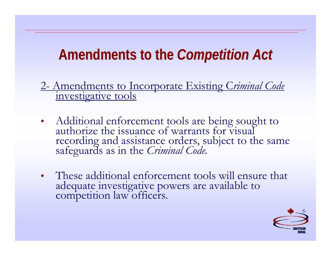2- Amendments to Incorporate Existing C*riminal Code* investigative tools

- • Additional enforcement tools are being sought to authorize the issuance of warrants for visual recording and assistance orders, subject to the same safeguards as in the *Criminal Code.*
- These additional enforcement tools will ensure that adequate investigative powers are available to competition law officers.

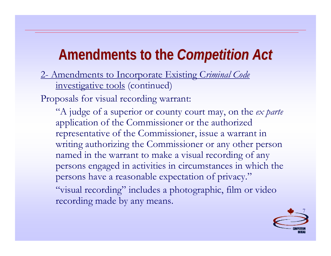2- Amendments to Incorporate Existing C*riminal Code* investigative tools (continued)

Proposals for visual recording warrant:

recording made by any means.

"A judge of a superior or county court may, on the *ex parte* application of the Commissioner or the authorized representative of the Commissioner, issue a warrant in writing authorizing the Commissioner or any other person named in the warrant to make a visual recording of any persons engaged in activities in circumstances in which the persons have a reasonable expectation of privacy." "visual recording" includes a photographic, film or video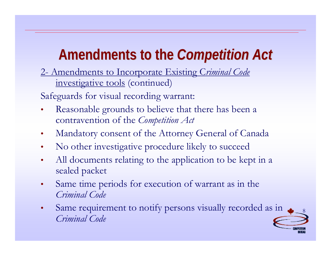2- Amendments to Incorporate Existing C*riminal Code* investigative tools (continued)

Safeguards for visual recording warrant:

- • Reasonable grounds to believe that there has been a contravention of the *Competition Act*
- •Mandatory consent of the Attorney General of Canada
- $\bullet$ No other investigative procedure likely to succeed
- • All documents relating to the application to be kept in a sealed packet
- • Same time periods for execution of warrant as in the *Criminal Code*
- • Same requirement to notify persons visually recorded as in *Criminal Code*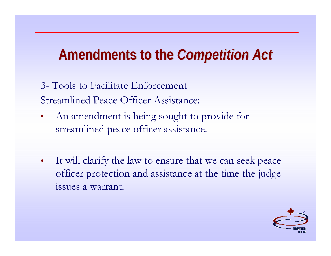3- Tools to Facilitate Enforcement Streamlined Peace Officer Assistance:

- $\bullet$  An amendment is being sought to provide for streamlined peace officer assistance.
- $\bullet$  It will clarify the law to ensure that we can seek peace officer protection and assistance at the time the judge issues a warrant.

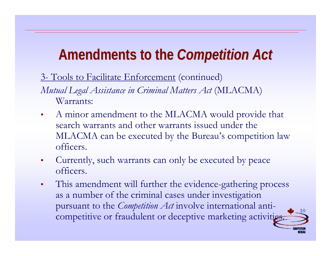3- Tools to Facilitate Enforcement (continued)

*Mutual Legal Assistance in Criminal Matters Act* (MLACMA) Warrants:

- • A minor amendment to the MLACMA would provide that search warrants and other warrants issued under the MLACMA can be executed by the Bureau's competition law officers.
- $\bullet$  Currently, such warrants can only be executed by peace officers.
- • This amendment will further the evidence-gathering process as a number of the criminal cases under investigation pursuant to the *Competition Act* involve international anticompetitive or fraudulent or deceptive marketing activities